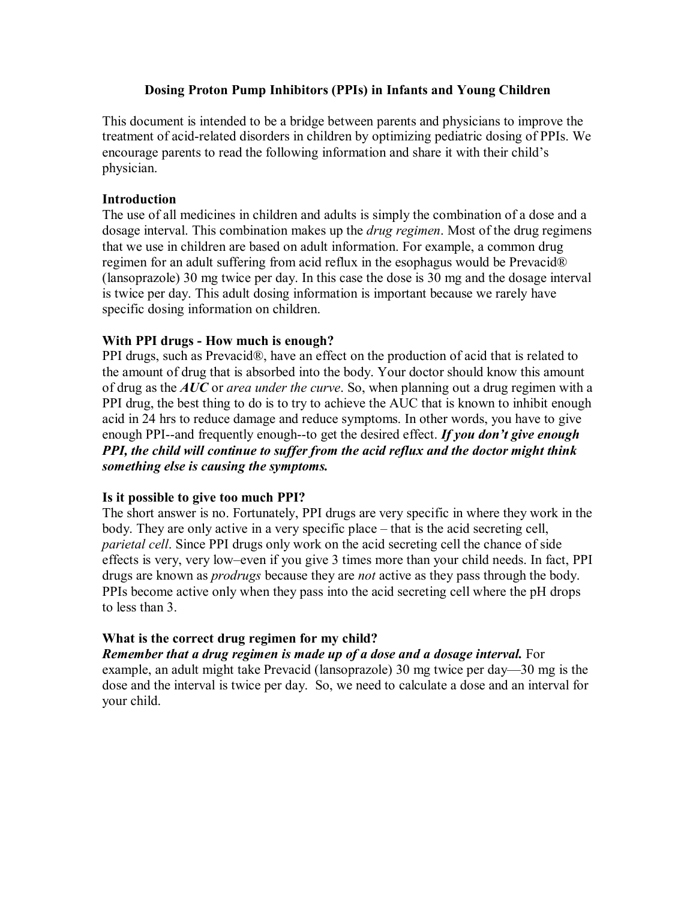# **Dosing Proton Pump Inhibitors (PPIs) in Infants and Young Children**

This document is intended to be a bridge between parents and physicians to improve the treatment of acid-related disorders in children by optimizing pediatric dosing of PPIs. We encourage parents to read the following information and share it with their child's physician.

#### **Introduction**

The use of all medicines in children and adults is simply the combination of a dose and a dosage interval. This combination makes up the *drug regimen*. Most of the drug regimens that we use in children are based on adult information. For example, a common drug regimen for an adult suffering from acid reflux in the esophagus would be Prevacid® (lansoprazole) 30 mg twice per day. In this case the dose is 30 mg and the dosage interval is twice per day. This adult dosing information is important because we rarely have specific dosing information on children.

## **With PPI** drugs - How much is enough?

PPI drugs, such as Prevacid®, have an effect on the production of acid that is related to the amount of drug that is absorbed into the body. Your doctor should know this amount of drug as the *AUC* or*area under the curve*. So, when planning out a drug regimen with a PPI drug, the best thing to do is to try to achieve the AUC that is known to inhibit enough acid in 24 hrs to reduce damage and reduce symptoms. In other words, you have to give enough PPI--and frequently enough--to get the desired effect. *If you don't give enough PPI, the child will continue to suffer from the acid reflux and the doctor might think something else is causing the symptoms.*

#### **Is it possible to give too much PPI?**

The short answer is no. Fortunately, PPI drugs are very specific in where they work in the body. They are only active in a very specific place – that is the acid secreting cell, *parietal cell*. Since PPI drugs only work on the acid secreting cell the chance of side effects is very, very low–even if you give 3 times more than your child needs. In fact, PPI drugs are known as *prodrugs* because they are *not* active as they pass through the body. PPIs become active only when they pass into the acid secreting cell where the pH drops to less than 3.

# **What is the correct drug regimen for my child?**

*Remember that a drug regimen is made up of a dose and a dosage interval.* For example, an adult might take Prevacid (lansoprazole) 30 mg twice per day—30 mg is the dose and the interval is twice per day. So, we need to calculate a dose and an interval for your child.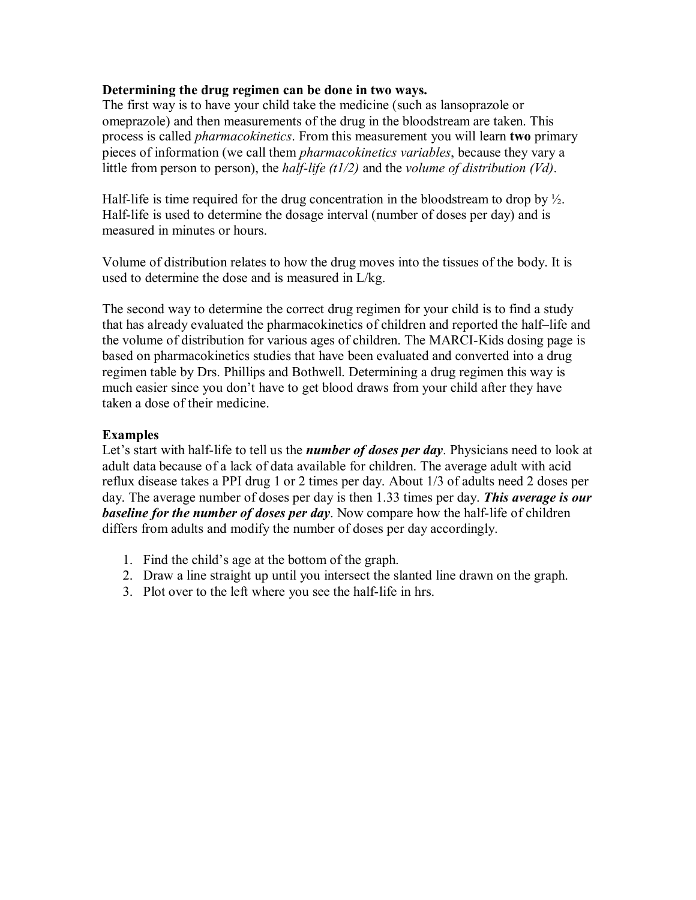### **Determining the drug regimen can be done in two ways.**

The first way is to have your child take the medicine (such as lansoprazole or omeprazole) and then measurements of the drug in the bloodstream are taken. This process is called *pharmacokinetics*. From this measurement you will learn **two** primary pieces of information (we call them *pharmacokinetics variables*, because they vary a little from person to person), the *half-life* (t1/2) and the *volume of distribution* (Vd).

Half-life is time required for the drug concentration in the bloodstream to drop by  $\frac{1}{2}$ . Half-life is used to determine the dosage interval (number of doses per day) and is measured in minutes or hours.

Volume of distribution relates to how the drug moves into the tissues of the body. It is used to determine the dose and is measured in L/kg.

The second way to determine the correct drug regimen for your child is to find a study that has already evaluated the pharmacokinetics of children and reported the half–life and the volume of distribution for various ages of children. The MARCI-Kids dosing page is based on pharmacokinetics studies that have been evaluated and converted into a drug regimen table by Drs. Phillips and Bothwell. Determining a drug regimen this way is much easier since you don't have to get blood draws from your child after they have taken a dose of their medicine.

## **Examples**

Let's start with half-life to tell us the *number of doses per day*. Physicians need to look at adult data because of a lack of data available for children. The average adult with acid reflux disease takes a PPI drug 1 or 2 times per day. About 1/3 of adults need 2 doses per day. The average number of doses per day is then 1.33 times per day. *This average is our*  **baseline for the number of doses per day**. Now compare how the half-life of children differs from adults and modify the number of doses per day accordingly.

- 1. Find the child's age at the bottom of the graph.
- 2. Draw a line straight up until you intersect the slanted line drawn on the graph.
- 3. Plot over to the left where you see the half-life in hrs.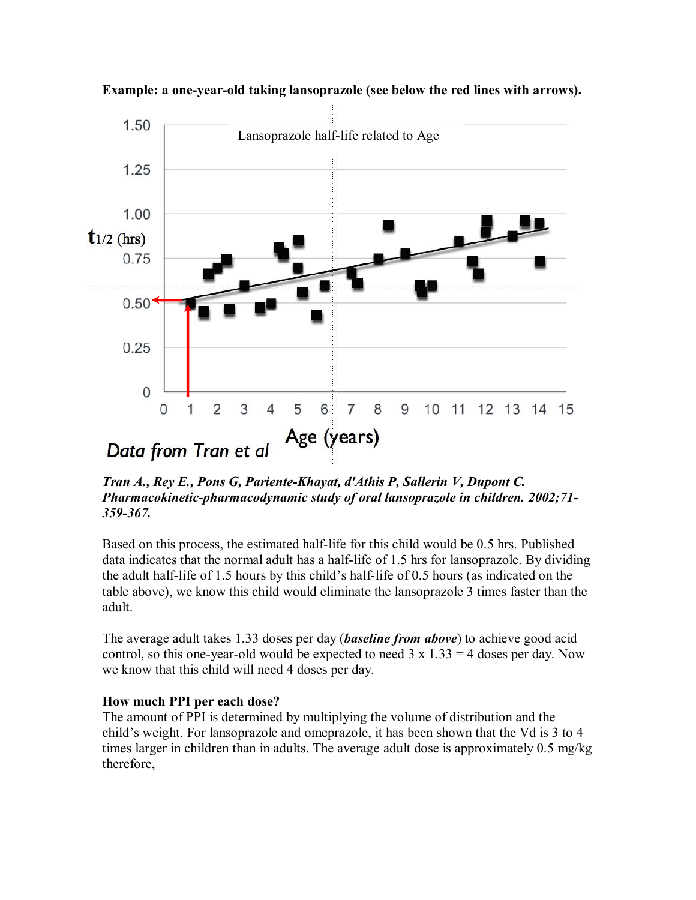

**Example: a one-year-old taking lansoprazole (see below the red lines with arrows).** 

*Tran A., Rey E., Pons G, Pariente-Khayat, d'Athis P, Sallerin V, Dupont C. Pharmacokinetic-pharmacodynamic study of oral lansoprazole in children.* 2002;71-*359367.*

Based on this process, the estimated half-life for this child would be 0.5 hrs. Published data indicates that the normal adult has a half-life of  $1.5$  hrs for lansoprazole. By dividing the adult half-life of 1.5 hours by this child's half-life of 0.5 hours (as indicated on the table above), we know this child would eliminate the lansoprazole 3 times faster than the adult.

The average adult takes 1.33 doses per day (*baseline from above*) to achieve good acid control, so this one-year-old would be expected to need  $3 \times 1.33 = 4$  doses per day. Now we know that this child will need 4 doses per day.

#### **How much PPI per each dose?**

The amount of PPI is determined by multiplying the volume of distribution and the child's weight. For lansoprazole and omeprazole, it has been shown that the Vd is 3 to 4 times larger in children than in adults. The average adult dose is approximately 0.5 mg/kg therefore,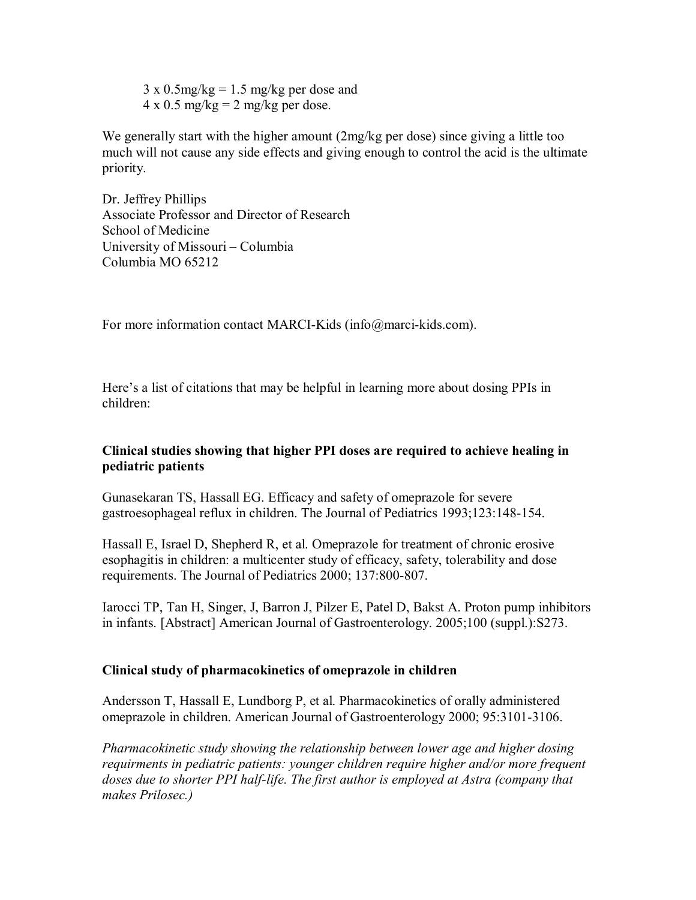$3 \times 0.5$ mg/kg = 1.5 mg/kg per dose and  $4 \times 0.5$  mg/kg = 2 mg/kg per dose.

We generally start with the higher amount (2mg/kg per dose) since giving a little too much will not cause any side effects and giving enough to control the acid is the ultimate priority.

Dr. Jeffrey Phillips Associate Professor and Director of Research School of Medicine University of Missouri – Columbia Columbia MO 65212

For more information contact MARCI-Kids (info@marci-kids.com).

Here's a list of citations that may be helpful in learning more about dosing PPIs in children:

# **Clinical studies showing that higher PPI doses are required to achieve healing in pediatric patients**

Gunasekaran TS, Hassall EG. Efficacy and safety of omeprazole for severe gastroesophageal reflux in children. The Journal of Pediatrics 1993;123:148-154.

Hassall E, Israel D, Shepherd R, et al. Omeprazole for treatment of chronic erosive esophagitis in children: a multicenter study of efficacy, safety, tolerability and dose requirements. The Journal of Pediatrics 2000; 137:800-807.

Iarocci TP, Tan H, Singer, J, Barron J, Pilzer E, Patel D, Bakst A. Proton pump inhibitors in infants. [Abstract] American Journal of Gastroenterology. 2005;100 (suppl.):S273.

# **Clinical study of pharmacokinetics of omeprazole in children**

Andersson T, Hassall E, Lundborg P, et al. Pharmacokinetics of orally administered omeprazole in children. American Journal of Gastroenterology 2000; 95:3101-3106.

*Pharmacokinetic study showing the relationship between lower age and higher dosing requirments in pediatric patients: younger children require higher and/or more frequent doses due to shorter PPI half-life. The first author is employed at Astra (company that makes Prilosec.)*